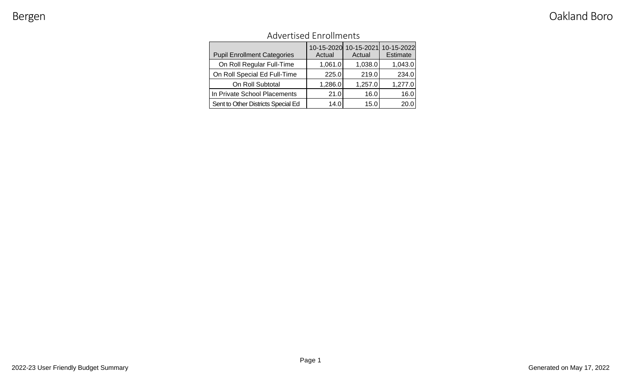| <b>Advertised Enrollments</b> |  |
|-------------------------------|--|
|                               |  |

| <b>Pupil Enrollment Categories</b> | Actual  | 10-15-2020 10-15-2021<br>Actual | 10-15-2022<br>Estimate |
|------------------------------------|---------|---------------------------------|------------------------|
| On Roll Regular Full-Time          | 1,061.0 | 1,038.0                         | 1,043.0                |
| On Roll Special Ed Full-Time       | 225.0   | 219.0                           | 234.0                  |
| On Roll Subtotal                   | 1,286.0 | 1,257.0                         | 1,277.0                |
| In Private School Placements       | 21.0    | 16.0                            | 16.0                   |
| Sent to Other Districts Special Ed | 14.0    | 15.0                            | 20.0                   |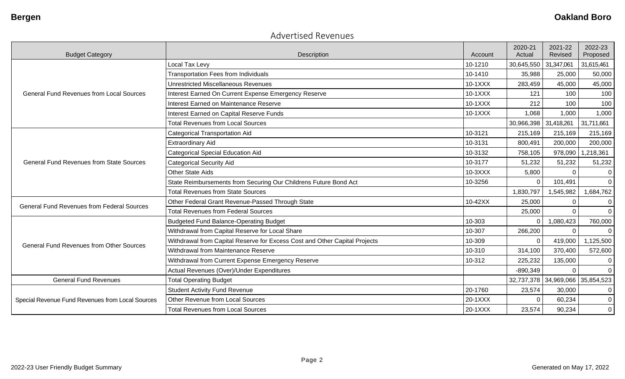### Advertised Revenues

|                                                   |                                                                            |         | 2020-21               | 2021-22               | 2022-23        |
|---------------------------------------------------|----------------------------------------------------------------------------|---------|-----------------------|-----------------------|----------------|
| <b>Budget Category</b>                            | Description                                                                | Account | Actual                | Revised               | Proposed       |
|                                                   | Local Tax Levy                                                             | 10-1210 | 30,645,550            | 31,347,061            | 31,615,461     |
|                                                   | <b>Transportation Fees from Individuals</b>                                | 10-1410 | 35,988                | 25,000                | 50,000         |
|                                                   | <b>Unrestricted Miscellaneous Revenues</b>                                 | 10-1XXX | 283,459               | 45,000                | 45,000         |
| <b>General Fund Revenues from Local Sources</b>   | Interest Earned On Current Expense Emergency Reserve                       | 10-1XXX | 121                   | 100                   | 100            |
|                                                   | Interest Earned on Maintenance Reserve                                     | 10-1XXX | 212                   | 100                   | 100            |
|                                                   | Interest Earned on Capital Reserve Funds                                   | 10-1XXX | 1,068                 | 1,000                 | 1,000          |
|                                                   | <b>Total Revenues from Local Sources</b>                                   |         | 30,966,398 31,418,261 |                       | 31,711,661     |
|                                                   | <b>Categorical Transportation Aid</b>                                      | 10-3121 | 215,169               | 215,169               | 215,169        |
|                                                   | <b>Extraordinary Aid</b>                                                   | 10-3131 | 800,491               | 200,000               | 200,000        |
|                                                   | <b>Categorical Special Education Aid</b>                                   | 10-3132 | 758,105               | 978,090               | 1,218,361      |
| <b>General Fund Revenues from State Sources</b>   | <b>Categorical Security Aid</b>                                            | 10-3177 | 51,232                | 51,232                | 51,232         |
|                                                   | <b>Other State Aids</b>                                                    | 10-3XXX | 5,800                 | $\Omega$              | $\mathbf 0$    |
|                                                   | State Reimbursements from Securing Our Childrens Future Bond Act           | 10-3256 |                       | 101,491               | $\overline{0}$ |
|                                                   | <b>Total Revenues from State Sources</b>                                   |         | 1,830,797             | 1,545,982             | 1,684,762      |
| <b>General Fund Revenues from Federal Sources</b> | Other Federal Grant Revenue-Passed Through State                           | 10-42XX | 25,000                | $\Omega$              | $\pmb{0}$      |
|                                                   | <b>Total Revenues from Federal Sources</b>                                 |         | 25,000                | $\Omega$              | $\overline{0}$ |
|                                                   | <b>Budgeted Fund Balance-Operating Budget</b>                              | 10-303  |                       | 1,080,423             | 760,000        |
|                                                   | Withdrawal from Capital Reserve for Local Share                            | 10-307  | 266,200               | $\Omega$              | $\mathbf 0$    |
|                                                   | Withdrawal from Capital Reserve for Excess Cost and Other Capital Projects | 10-309  | $\Omega$              | 419,000               | 1,125,500      |
| <b>General Fund Revenues from Other Sources</b>   | Withdrawal from Maintenance Reserve                                        | 10-310  | 314,100               | 370,400               | 572,600        |
|                                                   | Withdrawal from Current Expense Emergency Reserve                          | 10-312  | 225,232               | 135,000               | 0              |
|                                                   | Actual Revenues (Over)/Under Expenditures                                  |         | $-890,349$            | $\Omega$              | $\mathbf 0$    |
| <b>General Fund Revenues</b>                      | <b>Total Operating Budget</b>                                              |         |                       | 32,737,378 34,969,066 | 35,854,523     |
|                                                   | <b>Student Activity Fund Revenue</b>                                       | 20-1760 | 23,574                | 30,000                | $\pmb{0}$      |
| Special Revenue Fund Revenues from Local Sources  | Other Revenue from Local Sources                                           | 20-1XXX | $\Omega$              | 60,234                | $\pmb{0}$      |
|                                                   | <b>Total Revenues from Local Sources</b>                                   | 20-1XXX | 23,574                | 90,234                | $\pmb{0}$      |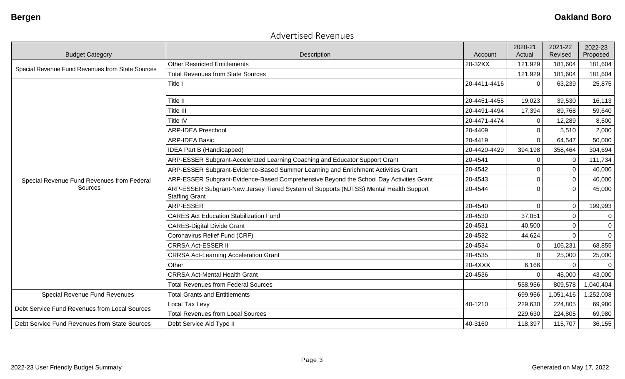### Advertised Revenues

|                                                       |                                                                                                                           |                    | 2020-21<br>Actual | 2021-22<br>Revised | 2022-23             |
|-------------------------------------------------------|---------------------------------------------------------------------------------------------------------------------------|--------------------|-------------------|--------------------|---------------------|
| <b>Budget Category</b>                                | Description<br><b>Other Restricted Entitlements</b>                                                                       | Account<br>20-32XX | 121,929           | 181,604            | Proposed<br>181,604 |
| Special Revenue Fund Revenues from State Sources      | <b>Total Revenues from State Sources</b>                                                                                  |                    |                   | 181,604            |                     |
|                                                       | Title I                                                                                                                   |                    | 121,929           |                    | 181,604             |
|                                                       |                                                                                                                           | 20-4411-4416       | $\Omega$          | 63,239             | 25,875              |
|                                                       | Title II                                                                                                                  | 20-4451-4455       | 19,023            | 39,530             | 16,113              |
|                                                       | Title III                                                                                                                 | 20-4491-4494       | 17,394            | 89,768             | 59,640              |
|                                                       | Title IV                                                                                                                  | 20-4471-4474       | 0                 | 12,289             | 8,500               |
|                                                       | <b>ARP-IDEA Preschool</b>                                                                                                 | 20-4409            | $\mathbf 0$       | 5,510              | 2,000               |
|                                                       | <b>ARP-IDEA Basic</b>                                                                                                     | 20-4419            | $\Omega$          | 64,547             | 50,000              |
|                                                       | <b>IDEA Part B (Handicapped)</b>                                                                                          | 20-4420-4429       | 394,198           | 358,464            | 304,694             |
|                                                       | ARP-ESSER Subgrant-Accelerated Learning Coaching and Educator Support Grant<br>20-4541                                    |                    | $\Omega$          | $\Omega$           | 111,734             |
| Special Revenue Fund Revenues from Federal<br>Sources | ARP-ESSER Subgrant-Evidence-Based Summer Learning and Enrichment Activities Grant<br>20-4542                              |                    | $\Omega$          | $\Omega$           | 40,000              |
|                                                       | ARP-ESSER Subgrant-Evidence-Based Comprehensive Beyond the School Day Activities Grant                                    |                    | $\Omega$          | $\Omega$           | 40,000              |
|                                                       | ARP-ESSER Subgrant-New Jersey Tiered System of Supports (NJTSS) Mental Health Support<br>20-4544<br><b>Staffing Grant</b> |                    | $\Omega$          | $\Omega$           | 45,000              |
|                                                       | <b>ARP-ESSER</b>                                                                                                          | 20-4540            | $\mathbf 0$       | $\mathbf 0$        | 199,993             |
|                                                       | <b>CARES Act Education Stabilization Fund</b>                                                                             | 20-4530            | 37,051            |                    | 0                   |
|                                                       | <b>CARES-Digital Divide Grant</b>                                                                                         | 20-4531            | 40,500            | $\Omega$           | $\mathbf 0$         |
|                                                       | Coronavirus Relief Fund (CRF)                                                                                             | 20-4532            | 44,624            | $\Omega$           | $\mathbf 0$         |
|                                                       | <b>CRRSA Act-ESSER II</b>                                                                                                 | 20-4534            | $\mathbf 0$       | 106,231            | 68,855              |
|                                                       | <b>CRRSA Act-Learning Acceleration Grant</b>                                                                              | 20-4535            | $\Omega$          | 25,000             | 25,000              |
|                                                       | Other                                                                                                                     | 20-4XXX            | 6,166             |                    | $\Omega$            |
|                                                       | <b>CRRSA Act-Mental Health Grant</b>                                                                                      | 20-4536            | $\Omega$          | 45,000             | 43,000              |
|                                                       | <b>Total Revenues from Federal Sources</b>                                                                                |                    | 558,956           | 809,578            | 1,040,404           |
| Special Revenue Fund Revenues                         | <b>Total Grants and Entitlements</b>                                                                                      |                    | 699,956           | 1,051,416          | 1,252,008           |
| Debt Service Fund Revenues from Local Sources         | Local Tax Levy                                                                                                            | 40-1210            | 229,630           | 224,805            | 69,980              |
|                                                       | <b>Total Revenues from Local Sources</b>                                                                                  |                    | 229,630           | 224,805            | 69,980              |
| Debt Service Fund Revenues from State Sources         | Debt Service Aid Type II                                                                                                  | 40-3160            | 118,397           | 115,707            | 36,155              |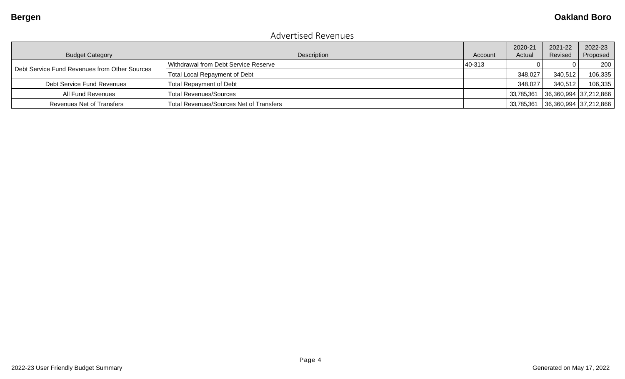### Advertised Revenues

| <b>Budget Category</b>                        | Description                             | Account | 2020-21<br>Actual | 2021-22<br>Revised    | 2022-23<br>Proposed |
|-----------------------------------------------|-----------------------------------------|---------|-------------------|-----------------------|---------------------|
|                                               | Withdrawal from Debt Service Reserve    | 40-313  |                   |                       | 200                 |
| Debt Service Fund Revenues from Other Sources | <b>Total Local Repayment of Debt</b>    |         | 348,027           | 340,512               | 106,335             |
| Debt Service Fund Revenues                    | <b>Total Repayment of Debt</b>          |         | 348,027           | 340,512               | 106,335             |
| All Fund Revenues                             | <b>Total Revenues/Sources</b>           |         | 33,785,361        | 36,360,994 37,212,866 |                     |
| Revenues Net of Transfers                     | Total Revenues/Sources Net of Transfers |         | 33,785,361        | 36,360,994 37,212,866 |                     |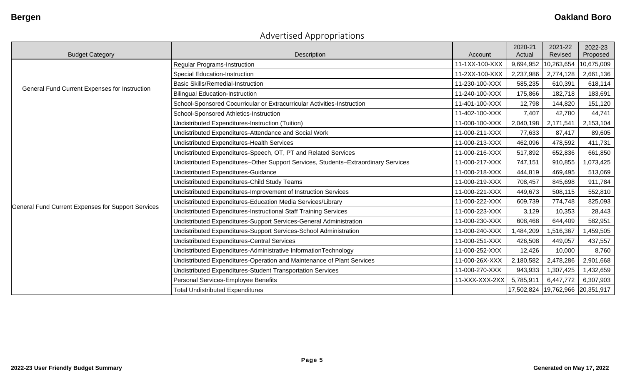# Advertised Appropriations

| <b>Budget Category</b>                                    | Description                                                                               | Account        | 2020-21<br>Actual | 2021-22<br>Revised               | 2022-23<br>Proposed |
|-----------------------------------------------------------|-------------------------------------------------------------------------------------------|----------------|-------------------|----------------------------------|---------------------|
|                                                           | Regular Programs-Instruction                                                              | 11-1XX-100-XXX | 9,694,952         | 10,263,654                       | 10,675,009          |
|                                                           | Special Education-Instruction                                                             | 11-2XX-100-XXX | 2,237,986         | 2,774,128                        | 2,661,136           |
|                                                           | <b>Basic Skills/Remedial-Instruction</b>                                                  | 11-230-100-XXX | 585,235           | 610,391                          | 618,114             |
| General Fund Current Expenses for Instruction             | <b>Bilingual Education-Instruction</b>                                                    | 11-240-100-XXX | 175,866           | 182,718                          | 183,691             |
|                                                           | 11-401-100-XXX<br>School-Sponsored Cocurricular or Extracurricular Activities-Instruction |                | 12,798            | 144,820                          | 151,120             |
|                                                           | School-Sponsored Athletics-Instruction                                                    | 11-402-100-XXX | 7,407             | 42,780                           | 44,741              |
|                                                           | Undistributed Expenditures-Instruction (Tuition)                                          | 11-000-100-XXX | 2,040,198         | 2,171,541                        | 2,153,104           |
|                                                           | Undistributed Expenditures-Attendance and Social Work                                     | 11-000-211-XXX | 77,633            | 87,417                           | 89,605              |
|                                                           | <b>Undistributed Expenditures-Health Services</b>                                         | 11-000-213-XXX | 462,096           | 478,592                          | 411,731             |
|                                                           | Undistributed Expenditures-Speech, OT, PT and Related Services                            | 11-000-216-XXX | 517,892           | 652,836                          | 661,850             |
|                                                           | Undistributed Expenditures-Other Support Services, Students-Extraordinary Services        | 11-000-217-XXX | 747,151           | 910,855                          | 1,073,425           |
|                                                           | Undistributed Expenditures-Guidance                                                       | 11-000-218-XXX | 444,819           | 469,495                          | 513,069             |
|                                                           | Undistributed Expenditures-Child Study Teams                                              | 11-000-219-XXX | 708,457           | 845,698                          | 911,784             |
|                                                           | Undistributed Expenditures-Improvement of Instruction Services                            | 11-000-221-XXX | 449,673           | 508,115                          | 552,810             |
| <b>General Fund Current Expenses for Support Services</b> | Undistributed Expenditures-Education Media Services/Library                               | 11-000-222-XXX | 609,739           | 774,748                          | 825,093             |
|                                                           | Undistributed Expenditures-Instructional Staff Training Services                          | 11-000-223-XXX | 3,129             | 10,353                           | 28,443              |
|                                                           | Undistributed Expenditures-Support Services-General Administration                        | 11-000-230-XXX | 608,468           | 644,409                          | 582,951             |
|                                                           | Undistributed Expenditures-Support Services-School Administration                         | 11-000-240-XXX | 1,484,209         | 1,516,367                        | 1,459,505           |
|                                                           | <b>Undistributed Expenditures-Central Services</b>                                        | 11-000-251-XXX | 426,508           | 449,057                          | 437,557             |
|                                                           | Undistributed Expenditures-Administrative InformationTechnology                           | 11-000-252-XXX | 12,426            | 10,000                           | 8,760               |
|                                                           | Undistributed Expenditures-Operation and Maintenance of Plant Services                    | 11-000-26X-XXX | 2,180,582         | 2,478,286                        | 2,901,668           |
|                                                           | Undistributed Expenditures-Student Transportation Services                                | 11-000-270-XXX | 943,933           | 1,307,425                        | 1,432,659           |
|                                                           | Personal Services-Employee Benefits                                                       | 11-XXX-XXX-2XX | 5,785,911         | 6,447,772                        | 6,307,903           |
|                                                           | <b>Total Undistributed Expenditures</b>                                                   |                |                   | 17,502,824 19,762,966 20,351,917 |                     |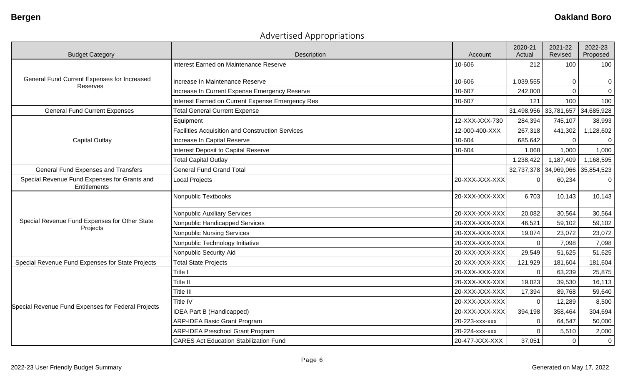# Advertised Appropriations

| <b>Budget Category</b>                                       | Description                                             | Account        | 2020-21<br>Actual | 2021-22<br>Revised    | 2022-23<br>Proposed |
|--------------------------------------------------------------|---------------------------------------------------------|----------------|-------------------|-----------------------|---------------------|
|                                                              | <b>Interest Earned on Maintenance Reserve</b>           | 10-606         | 212               | 100                   | 100                 |
| General Fund Current Expenses for Increased<br>Reserves      | Increase In Maintenance Reserve                         | 10-606         | 1,039,555         | $\mathbf 0$           | $\mathbf 0$         |
|                                                              | Increase In Current Expense Emergency Reserve           | 10-607         | 242,000           |                       | $\mathbf 0$         |
|                                                              | Interest Earned on Current Expense Emergency Res        | 10-607         | 121               | 100                   | 100                 |
| <b>General Fund Current Expenses</b>                         | <b>Total General Current Expense</b>                    |                |                   | 31,498,956 33,781,657 | 34,685,928          |
|                                                              | Equipment                                               | 12-XXX-XXX-730 | 284,394           | 745,107               | 38,993              |
|                                                              | <b>Facilities Acquisition and Construction Services</b> | 12-000-400-XXX | 267,318           | 441,302               | 1,128,602           |
| <b>Capital Outlay</b>                                        | Increase In Capital Reserve                             | 10-604         | 685,642           |                       | $\mathbf 0$         |
|                                                              | Interest Deposit to Capital Reserve                     | 10-604         | 1,068             | 1,000                 | 1,000               |
|                                                              | <b>Total Capital Outlay</b>                             |                | 1,238,422         | 1,187,409             | 1,168,595           |
| <b>General Fund Expenses and Transfers</b>                   | <b>General Fund Grand Total</b>                         |                |                   | 32,737,378 34,969,066 | 35,854,523          |
| Special Revenue Fund Expenses for Grants and<br>Entitlements | <b>Local Projects</b>                                   | 20-XXX-XXX-XXX | $\Omega$          | 60,234                | $\overline{0}$      |
|                                                              | Nonpublic Textbooks                                     | 20-XXX-XXX-XXX | 6,703             | 10,143                | 10,143              |
|                                                              | Nonpublic Auxiliary Services                            | 20-XXX-XXX-XXX | 20,082            | 30,564                | 30,564              |
| Special Revenue Fund Expenses for Other State                | Nonpublic Handicapped Services                          | 20-XXX-XXX-XXX | 46,521            | 59,102                | 59,102              |
| Projects                                                     | <b>Nonpublic Nursing Services</b>                       | 20-XXX-XXX-XXX | 19,074            | 23,072                | 23,072              |
|                                                              | Nonpublic Technology Initiative                         | 20-XXX-XXX-XXX | $\mathbf 0$       | 7,098                 | 7,098               |
|                                                              | Nonpublic Security Aid                                  | 20-XXX-XXX-XXX | 29,549            | 51,625                | 51,625              |
| Special Revenue Fund Expenses for State Projects             | <b>Total State Projects</b>                             | 20-XXX-XXX-XXX | 121,929           | 181,604               | 181,604             |
|                                                              | Title I                                                 | 20-XXX-XXX-XXX | $\mathbf 0$       | 63,239                | 25,875              |
|                                                              | Title II                                                | 20-XXX-XXX-XXX | 19,023            | 39,530                | 16,113              |
|                                                              | Title III                                               | 20-XXX-XXX-XXX | 17,394            | 89,768                | 59,640              |
|                                                              | <b>Title IV</b>                                         | 20-XXX-XXX-XXX | $\Omega$          | 12,289                | 8,500               |
| Special Revenue Fund Expenses for Federal Projects           | <b>IDEA Part B (Handicapped)</b>                        | 20-XXX-XXX-XXX | 394,198           | 358,464               | 304,694             |
|                                                              | <b>ARP-IDEA Basic Grant Program</b>                     | 20-223-xxx-xxx | $\Omega$          | 64,547                | 50,000              |
|                                                              | ARP-IDEA Preschool Grant Program                        | 20-224-xxx-xxx | $\Omega$          | 5,510                 | 2,000               |
|                                                              | <b>CARES Act Education Stabilization Fund</b>           | 20-477-XXX-XXX | 37,051            | $\mathbf 0$           | $\overline{0}$      |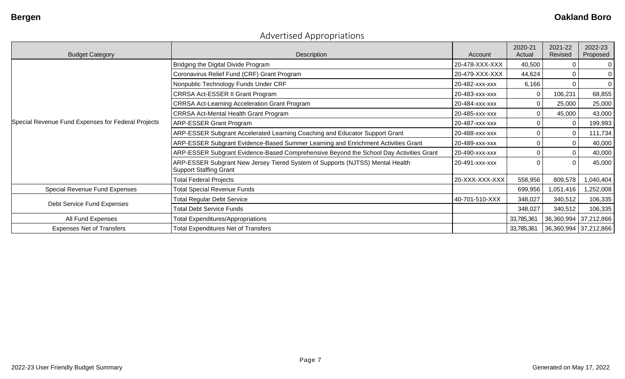| <b>Budget Category</b>                             | Description                                                                                                    | Account        | 2020-21<br>Actual | 2021-22<br>Revised    | 2022-23<br>Proposed |
|----------------------------------------------------|----------------------------------------------------------------------------------------------------------------|----------------|-------------------|-----------------------|---------------------|
|                                                    | Bridging the Digital Divide Program                                                                            | 20-478-XXX-XXX | 40,500            |                       | 0                   |
|                                                    | Coronavirus Relief Fund (CRF) Grant Program                                                                    | 20-479-XXX-XXX | 44,624            |                       | 0                   |
|                                                    | Nonpublic Technology Funds Under CRF                                                                           | 20-482-xxx-xxx | 6,166             |                       | 0                   |
|                                                    | CRRSA Act-ESSER II Grant Program                                                                               | 20-483-xxx-xxx |                   | 106,231               | 68,855              |
|                                                    | <b>CRRSA Act-Learning Acceleration Grant Program</b>                                                           | 20-484-xxx-xxx |                   | 25,000                | 25,000              |
|                                                    | <b>CRRSA Act-Mental Health Grant Program</b>                                                                   | 20-485-xxx-xxx |                   | 45,000                | 43,000              |
| Special Revenue Fund Expenses for Federal Projects | <b>ARP-ESSER Grant Program</b>                                                                                 | 20-487-xxx-xxx |                   |                       | 199,993             |
|                                                    | ARP-ESSER Subgrant Accelerated Learning Coaching and Educator Support Grant                                    | 20-488-xxx-xxx |                   |                       | 111,734             |
|                                                    | ARP-ESSER Subgrant Evidence-Based Summer Learning and Enrichment Activities Grant                              | 20-489-xxx-xxx |                   |                       | 40,000              |
|                                                    | ARP-ESSER Subgrant Evidence-Based Comprehensive Beyond the School Day Activities Grant                         | 20-490-xxx-xxx |                   |                       | 40,000              |
|                                                    | ARP-ESSER Subgrant New Jersey Tiered System of Supports (NJTSS) Mental Health<br><b>Support Staffing Grant</b> | 20-491-xxx-xxx |                   |                       | 45,000              |
|                                                    | <b>Total Federal Projects</b>                                                                                  | 20-XXX-XXX-XXX | 558,956           | 809,578               | 1,040,404           |
| Special Revenue Fund Expenses                      | <b>Total Special Revenue Funds</b>                                                                             |                | 699,956           | 1,051,416             | 1,252,008           |
|                                                    | <b>Total Regular Debt Service</b>                                                                              | 40-701-510-XXX | 348,027           | 340,512               | 106,335             |
| Debt Service Fund Expenses                         | <b>Total Debt Service Funds</b>                                                                                |                | 348,027           | 340,512               | 106,335             |
| All Fund Expenses                                  | <b>Total Expenditures/Appropriations</b>                                                                       |                | 33,785,361        | 36,360,994 37,212,866 |                     |
| <b>Expenses Net of Transfers</b>                   | <b>Total Expenditures Net of Transfers</b>                                                                     |                | 33,785,361        | 36,360,994 37,212,866 |                     |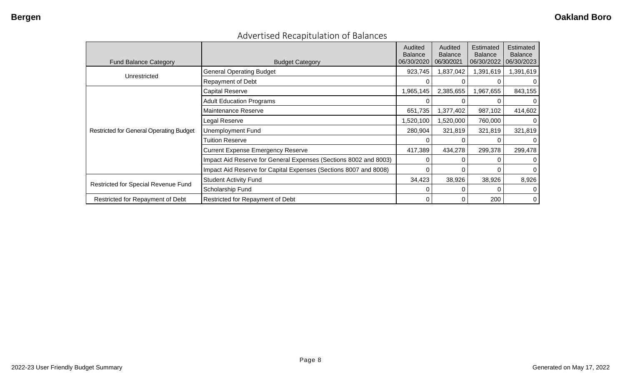| Advertised Recapitulation of Balances |
|---------------------------------------|
|---------------------------------------|

| <b>Fund Balance Category</b>                   | <b>Budget Category</b>                                           | Audited<br><b>Balance</b><br>06/30/2020 | Audited<br><b>Balance</b><br>06/30/2021 | Estimated<br><b>Balance</b><br>06/30/2022 | Estimated<br><b>Balance</b><br>06/30/2023 |
|------------------------------------------------|------------------------------------------------------------------|-----------------------------------------|-----------------------------------------|-------------------------------------------|-------------------------------------------|
|                                                | <b>General Operating Budget</b>                                  | 923,745                                 | 1,837,042                               | 1,391,619                                 | 1,391,619                                 |
| Unrestricted                                   | Repayment of Debt                                                |                                         |                                         |                                           | 0                                         |
|                                                | <b>Capital Reserve</b>                                           | 1,965,145                               | 2,385,655                               | 1,967,655                                 | 843,155                                   |
|                                                | <b>Adult Education Programs</b>                                  |                                         |                                         |                                           | $\overline{0}$                            |
|                                                | Maintenance Reserve                                              | 651,735                                 | ,377,402                                | 987,102                                   | 414,602                                   |
|                                                | Legal Reserve                                                    | 1,520,100                               | ,520,000                                | 760,000                                   | 0                                         |
| <b>Restricted for General Operating Budget</b> | <b>Unemployment Fund</b>                                         | 280,904                                 | 321,819                                 | 321,819                                   | 321,819                                   |
|                                                | <b>Tuition Reserve</b>                                           |                                         |                                         | O                                         | $\overline{0}$                            |
|                                                | Current Expense Emergency Reserve                                | 417,389                                 | 434,278                                 | 299,378                                   | 299,478                                   |
|                                                | Impact Aid Reserve for General Expenses (Sections 8002 and 8003) |                                         |                                         | 0                                         | $\overline{0}$                            |
|                                                | Impact Aid Reserve for Capital Expenses (Sections 8007 and 8008) |                                         |                                         | 0                                         | $\overline{0}$                            |
| Restricted for Special Revenue Fund            | <b>Student Activity Fund</b>                                     | 34,423                                  | 38,926                                  | 38,926                                    | 8,926                                     |
|                                                | Scholarship Fund                                                 |                                         |                                         | 0                                         | $\overline{0}$                            |
| Restricted for Repayment of Debt               | Restricted for Repayment of Debt                                 | 0                                       | 0                                       | 200                                       | $\overline{0}$                            |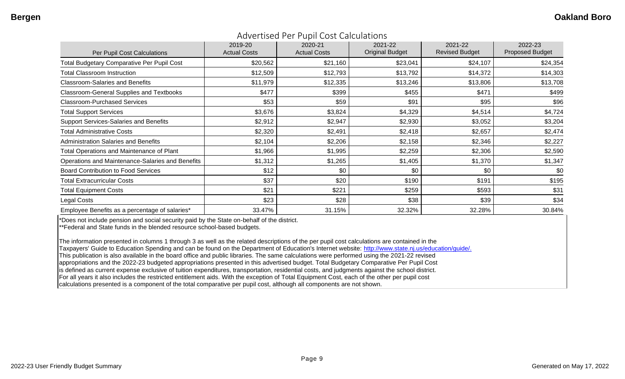| Per Pupil Cost Calculations                       | 2019-20<br><b>Actual Costs</b> | 2020-21<br><b>Actual Costs</b> | 2021-22<br><b>Original Budget</b> | 2021-22<br><b>Revised Budget</b> | 2022-23<br><b>Proposed Budget</b> |
|---------------------------------------------------|--------------------------------|--------------------------------|-----------------------------------|----------------------------------|-----------------------------------|
| <b>Total Budgetary Comparative Per Pupil Cost</b> | \$20,562                       | \$21,160                       | \$23,041                          | \$24,107                         | \$24,354                          |
| <b>Total Classroom Instruction</b>                | \$12,509                       | \$12,793                       | \$13,792                          | \$14,372                         | \$14,303                          |
| <b>Classroom-Salaries and Benefits</b>            | \$11,979                       | \$12,335                       | \$13,246                          | \$13,806                         | \$13,708                          |
| <b>Classroom-General Supplies and Textbooks</b>   | \$477                          | \$399                          | \$455                             | \$471                            | \$499                             |
| <b>Classroom-Purchased Services</b>               | \$53                           | \$59                           | \$91                              | \$95                             | \$96                              |
| <b>Total Support Services</b>                     | \$3,676                        | \$3,824                        | \$4,329                           | \$4,514                          | \$4,724                           |
| <b>Support Services-Salaries and Benefits</b>     | \$2,912                        | \$2,947                        | \$2,930                           | \$3,052                          | \$3,204                           |
| <b>Total Administrative Costs</b>                 | \$2,320                        | \$2,491                        | \$2,418                           | \$2,657                          | \$2,474                           |
| <b>Administration Salaries and Benefits</b>       | \$2,104                        | \$2,206                        | \$2,158                           | \$2,346                          | \$2,227                           |
| Total Operations and Maintenance of Plant         | \$1,966                        | \$1,995                        | \$2,259                           | \$2,306                          | \$2,590                           |
| Operations and Maintenance-Salaries and Benefits  | \$1,312                        | \$1,265                        | \$1,405                           | \$1,370                          | \$1,347                           |
| <b>Board Contribution to Food Services</b>        | \$12                           | \$0                            | \$0                               | \$0                              | \$0                               |
| <b>Total Extracurricular Costs</b>                | \$37                           | \$20                           | \$190                             | \$191                            | \$195                             |
| <b>Total Equipment Costs</b>                      | \$21                           | \$221                          | \$259                             | \$593                            | \$31                              |
| Legal Costs                                       | \$23                           | \$28                           | \$38                              | \$39                             | \$34                              |
| Employee Benefits as a percentage of salaries*    | 33.47%                         | 31.15%                         | 32.32%                            | 32.28%                           | 30.84%                            |

#### Advertised Per Pupil Cost Calculations

\*Does not include pension and social security paid by the State on-behalf of the district.

\*\*Federal and State funds in the blended resource school-based budgets.

The information presented in columns 1 through 3 as well as the related descriptions of the per pupil cost calculations are contained in the Taxpayers' Guide to Education Spending and can be found on the Department of Education's Internet website: [http://www.state.nj.us/education/guide/.](http://www.state.nj.us/education/guide/) This publication is also available in the board office and public libraries. The same calculations were performed using the 2021-22 revised appropriations and the 2022-23 budgeted appropriations presented in this advertised budget. Total Budgetary Comparative Per Pupil Cost is defined as current expense exclusive of tuition expenditures, transportation, residential costs, and judgments against the school district. For all years it also includes the restricted entitlement aids. With the exception of Total Equipment Cost, each of the other per pupil cost calculations presented is a component of the total comparative per pupil cost, although all components are not shown.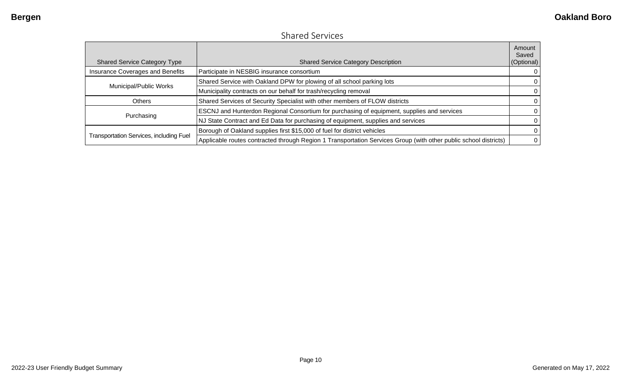### Shared Services

| <b>Shared Service Category Type</b>            | <b>Shared Service Category Description</b>                                                                       | Amount<br>Saved<br>(Optional) |
|------------------------------------------------|------------------------------------------------------------------------------------------------------------------|-------------------------------|
| <b>Insurance Coverages and Benefits</b>        | Participate in NESBIG insurance consortium                                                                       | 0                             |
| Municipal/Public Works                         | Shared Service with Oakland DPW for plowing of all school parking lots                                           | 0                             |
|                                                | Municipality contracts on our behalf for trash/recycling removal                                                 | $\Omega$                      |
| <b>Others</b>                                  | Shared Services of Security Specialist with other members of FLOW districts                                      | $\Omega$                      |
|                                                | ESCNJ and Hunterdon Regional Consortium for purchasing of equipment, supplies and services                       | 0                             |
| Purchasing                                     | NJ State Contract and Ed Data for purchasing of equipment, supplies and services                                 | 0                             |
|                                                | Borough of Oakland supplies first \$15,000 of fuel for district vehicles                                         | $\Omega$                      |
| <b>Transportation Services, including Fuel</b> | Applicable routes contracted through Region 1 Transportation Services Group (with other public school districts) | $\mathbf{0}$                  |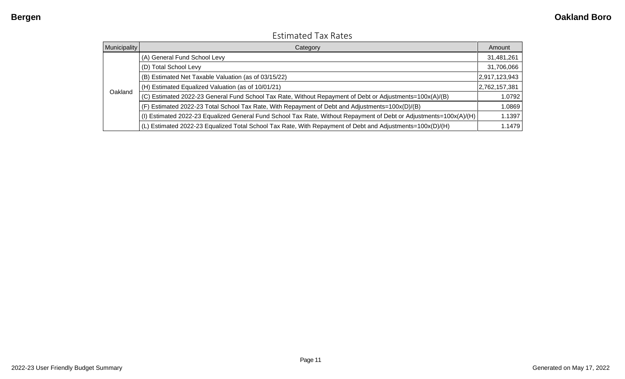| Municipality | Category                                                                                                           | Amount        |
|--------------|--------------------------------------------------------------------------------------------------------------------|---------------|
|              | (A) General Fund School Levy                                                                                       | 31,481,261    |
|              | (D) Total School Levy                                                                                              | 31,706,066    |
| Oakland      | (B) Estimated Net Taxable Valuation (as of 03/15/22)                                                               | 2,917,123,943 |
|              | (H) Estimated Equalized Valuation (as of 10/01/21)                                                                 | 2,762,157,381 |
|              | (C) Estimated 2022-23 General Fund School Tax Rate, Without Repayment of Debt or Adjustments=100x(A)/(B)           | 1.0792        |
|              | (F) Estimated 2022-23 Total School Tax Rate, With Repayment of Debt and Adjustments=100x(D)/(B)                    | 1.0869        |
|              | (I) Estimated 2022-23 Equalized General Fund School Tax Rate, Without Repayment of Debt or Adjustments=100x(A)/(H) | 1.1397        |
|              | (L) Estimated 2022-23 Equalized Total School Tax Rate, With Repayment of Debt and Adjustments=100x(D)/(H)          | 1.1479        |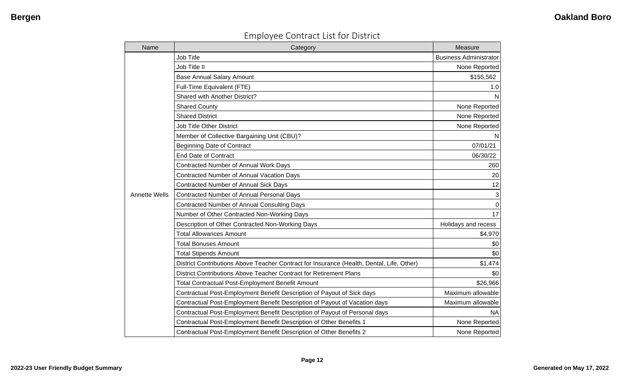| <b>Employee Contract List for District</b> |  |  |  |
|--------------------------------------------|--|--|--|
|--------------------------------------------|--|--|--|

| Name                 | Category                                                                                  | Measure                       |
|----------------------|-------------------------------------------------------------------------------------------|-------------------------------|
|                      | Job Title                                                                                 | <b>Business Administrator</b> |
|                      | Job Title II                                                                              | None Reported                 |
|                      | <b>Base Annual Salary Amount</b>                                                          | \$155,562                     |
|                      | Full-Time Equivalent (FTE)                                                                | 1.0                           |
|                      | Shared with Another District?                                                             | N                             |
|                      | <b>Shared County</b>                                                                      | None Reported                 |
|                      | <b>Shared District</b>                                                                    | None Reported                 |
|                      | <b>Job Title Other District</b>                                                           | None Reported                 |
|                      | Member of Collective Bargaining Unit (CBU)?                                               | N                             |
|                      | <b>Beginning Date of Contract</b>                                                         | 07/01/21                      |
|                      | <b>End Date of Contract</b>                                                               | 06/30/22                      |
|                      | Contracted Number of Annual Work Days                                                     | 260                           |
|                      | <b>Contracted Number of Annual Vacation Days</b>                                          | 20                            |
|                      | <b>Contracted Number of Annual Sick Days</b>                                              | 12                            |
| <b>Annette Wells</b> | Contracted Number of Annual Personal Days                                                 | $\mathbf{3}$                  |
|                      | <b>Contracted Number of Annual Consulting Days</b>                                        | $\boldsymbol{0}$              |
|                      | Number of Other Contracted Non-Working Days                                               | 17                            |
|                      | Description of Other Contracted Non-Working Days                                          | Holidays and recess           |
|                      | <b>Total Allowances Amount</b>                                                            | \$4,970                       |
|                      | <b>Total Bonuses Amount</b>                                                               | \$0                           |
|                      | <b>Total Stipends Amount</b>                                                              | \$0                           |
|                      | District Contributions Above Teacher Contract for Insurance (Health, Dental, Life, Other) | \$1,474                       |
|                      | District Contributions Above Teacher Contract for Retirement Plans                        | \$0                           |
|                      | <b>Total Contractual Post-Employment Benefit Amount</b>                                   | \$26,966                      |
|                      | Contractual Post-Employment Benefit Description of Payout of Sick days                    | Maximum allowable             |
|                      | Contractual Post-Employment Benefit Description of Payout of Vacation days                | Maximum allowable             |
|                      | Contractual Post-Employment Benefit Description of Payout of Personal days                | <b>NA</b>                     |
|                      | Contractual Post-Employment Benefit Description of Other Benefits 1                       | None Reported                 |
|                      | Contractual Post-Employment Benefit Description of Other Benefits 2                       | None Reported                 |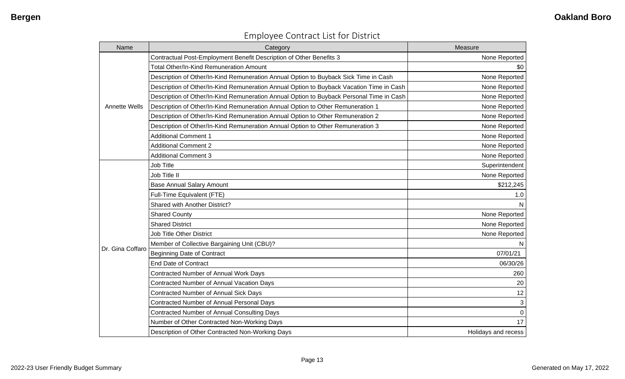| Name                 | Category                                                                                 | Measure             |
|----------------------|------------------------------------------------------------------------------------------|---------------------|
|                      | Contractual Post-Employment Benefit Description of Other Benefits 3                      | None Reported       |
|                      | <b>Total Other/In-Kind Remuneration Amount</b>                                           | \$0                 |
|                      | Description of Other/In-Kind Remuneration Annual Option to Buyback Sick Time in Cash     | None Reported       |
|                      | Description of Other/In-Kind Remuneration Annual Option to Buyback Vacation Time in Cash | None Reported       |
|                      | Description of Other/In-Kind Remuneration Annual Option to Buyback Personal Time in Cash | None Reported       |
| <b>Annette Wells</b> | Description of Other/In-Kind Remuneration Annual Option to Other Remuneration 1          | None Reported       |
|                      | Description of Other/In-Kind Remuneration Annual Option to Other Remuneration 2          | None Reported       |
|                      | Description of Other/In-Kind Remuneration Annual Option to Other Remuneration 3          | None Reported       |
|                      | <b>Additional Comment 1</b>                                                              | None Reported       |
|                      | <b>Additional Comment 2</b>                                                              | None Reported       |
|                      | <b>Additional Comment 3</b>                                                              | None Reported       |
|                      | Job Title                                                                                | Superintendent      |
|                      | Job Title II                                                                             | None Reported       |
|                      | <b>Base Annual Salary Amount</b>                                                         | \$212,245           |
|                      | Full-Time Equivalent (FTE)                                                               | 1.0                 |
|                      | Shared with Another District?                                                            | $\mathsf{N}$        |
|                      | <b>Shared County</b>                                                                     | None Reported       |
|                      | <b>Shared District</b>                                                                   | None Reported       |
|                      | Job Title Other District                                                                 | None Reported       |
|                      | Member of Collective Bargaining Unit (CBU)?                                              | N                   |
| Dr. Gina Coffaro     | <b>Beginning Date of Contract</b>                                                        | 07/01/21            |
|                      | <b>End Date of Contract</b>                                                              | 06/30/26            |
|                      | Contracted Number of Annual Work Days                                                    | 260                 |
|                      | Contracted Number of Annual Vacation Days                                                | 20                  |
|                      | <b>Contracted Number of Annual Sick Days</b>                                             | 12                  |
|                      | Contracted Number of Annual Personal Days                                                | 3                   |
|                      | <b>Contracted Number of Annual Consulting Days</b>                                       | $\overline{0}$      |
|                      | Number of Other Contracted Non-Working Days                                              | 17                  |
|                      | Description of Other Contracted Non-Working Days                                         | Holidays and recess |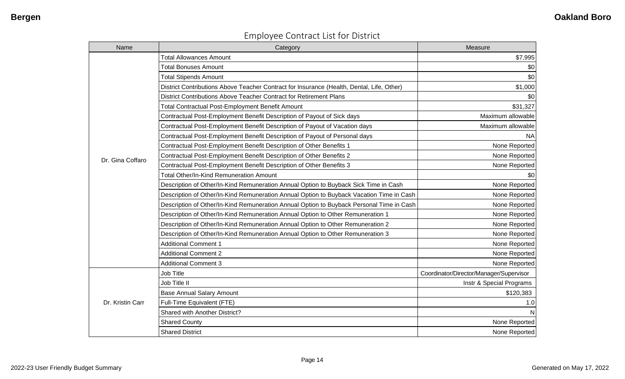| <b>Employee Contract List for District</b> |  |  |  |
|--------------------------------------------|--|--|--|
|--------------------------------------------|--|--|--|

| Name             | Category                                                                                  | Measure                                 |
|------------------|-------------------------------------------------------------------------------------------|-----------------------------------------|
|                  | <b>Total Allowances Amount</b>                                                            | \$7,995                                 |
|                  | <b>Total Bonuses Amount</b>                                                               | \$0                                     |
|                  | <b>Total Stipends Amount</b>                                                              | \$0                                     |
|                  | District Contributions Above Teacher Contract for Insurance (Health, Dental, Life, Other) | \$1,000                                 |
|                  | District Contributions Above Teacher Contract for Retirement Plans                        | \$0                                     |
|                  | Total Contractual Post-Employment Benefit Amount                                          | \$31,327                                |
|                  | Contractual Post-Employment Benefit Description of Payout of Sick days                    | Maximum allowable                       |
|                  | Contractual Post-Employment Benefit Description of Payout of Vacation days                | Maximum allowable                       |
|                  | Contractual Post-Employment Benefit Description of Payout of Personal days                | <b>NA</b>                               |
|                  | Contractual Post-Employment Benefit Description of Other Benefits 1                       | None Reported                           |
| Dr. Gina Coffaro | Contractual Post-Employment Benefit Description of Other Benefits 2                       | None Reported                           |
|                  | Contractual Post-Employment Benefit Description of Other Benefits 3                       | None Reported                           |
|                  | <b>Total Other/In-Kind Remuneration Amount</b>                                            | \$0                                     |
|                  | Description of Other/In-Kind Remuneration Annual Option to Buyback Sick Time in Cash      | None Reported                           |
|                  | Description of Other/In-Kind Remuneration Annual Option to Buyback Vacation Time in Cash  | None Reported                           |
|                  | Description of Other/In-Kind Remuneration Annual Option to Buyback Personal Time in Cash  | None Reported                           |
|                  | Description of Other/In-Kind Remuneration Annual Option to Other Remuneration 1           | None Reported                           |
|                  | Description of Other/In-Kind Remuneration Annual Option to Other Remuneration 2           | None Reported                           |
|                  | Description of Other/In-Kind Remuneration Annual Option to Other Remuneration 3           | None Reported                           |
|                  | <b>Additional Comment 1</b>                                                               | None Reported                           |
|                  | <b>Additional Comment 2</b>                                                               | None Reported                           |
|                  | <b>Additional Comment 3</b>                                                               | None Reported                           |
|                  | Job Title                                                                                 | Coordinator/Director/Manager/Supervisor |
|                  | Job Title II                                                                              | Instr & Special Programs                |
|                  | <b>Base Annual Salary Amount</b>                                                          | \$120,383                               |
| Dr. Kristin Carr | Full-Time Equivalent (FTE)                                                                | 1.0                                     |
|                  | Shared with Another District?                                                             | N                                       |
|                  | <b>Shared County</b>                                                                      | None Reported                           |
|                  | <b>Shared District</b>                                                                    | None Reported                           |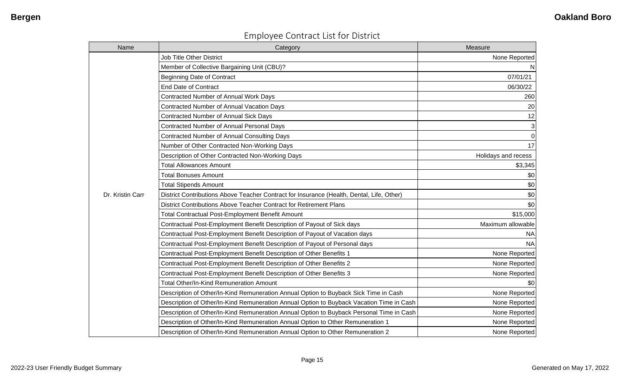| Name             | Category                                                                                  | Measure             |
|------------------|-------------------------------------------------------------------------------------------|---------------------|
|                  | <b>Job Title Other District</b>                                                           | None Reported       |
|                  | Member of Collective Bargaining Unit (CBU)?                                               | N.                  |
|                  | <b>Beginning Date of Contract</b>                                                         | 07/01/21            |
|                  | <b>End Date of Contract</b>                                                               | 06/30/22            |
|                  | Contracted Number of Annual Work Days                                                     | 260                 |
|                  | Contracted Number of Annual Vacation Days                                                 | 20                  |
|                  | <b>Contracted Number of Annual Sick Days</b>                                              | 12                  |
|                  | Contracted Number of Annual Personal Days                                                 | $\mathbf{3}$        |
|                  | Contracted Number of Annual Consulting Days                                               | $\overline{0}$      |
|                  | Number of Other Contracted Non-Working Days                                               | 17                  |
|                  | Description of Other Contracted Non-Working Days                                          | Holidays and recess |
|                  | <b>Total Allowances Amount</b>                                                            | \$3,345             |
|                  | <b>Total Bonuses Amount</b>                                                               | \$0                 |
|                  | <b>Total Stipends Amount</b>                                                              | \$0                 |
| Dr. Kristin Carr | District Contributions Above Teacher Contract for Insurance (Health, Dental, Life, Other) | \$0                 |
|                  | District Contributions Above Teacher Contract for Retirement Plans                        | \$0                 |
|                  | Total Contractual Post-Employment Benefit Amount                                          | \$15,000            |
|                  | Contractual Post-Employment Benefit Description of Payout of Sick days                    | Maximum allowable   |
|                  | Contractual Post-Employment Benefit Description of Payout of Vacation days                | <b>NA</b>           |
|                  | Contractual Post-Employment Benefit Description of Payout of Personal days                | <b>NA</b>           |
|                  | Contractual Post-Employment Benefit Description of Other Benefits 1                       | None Reported       |
|                  | Contractual Post-Employment Benefit Description of Other Benefits 2                       | None Reported       |
|                  | Contractual Post-Employment Benefit Description of Other Benefits 3                       | None Reported       |
|                  | <b>Total Other/In-Kind Remuneration Amount</b>                                            | \$0                 |
|                  | Description of Other/In-Kind Remuneration Annual Option to Buyback Sick Time in Cash      | None Reported       |
|                  | Description of Other/In-Kind Remuneration Annual Option to Buyback Vacation Time in Cash  | None Reported       |
|                  | Description of Other/In-Kind Remuneration Annual Option to Buyback Personal Time in Cash  | None Reported       |
|                  | Description of Other/In-Kind Remuneration Annual Option to Other Remuneration 1           | None Reported       |
|                  | Description of Other/In-Kind Remuneration Annual Option to Other Remuneration 2           | None Reported       |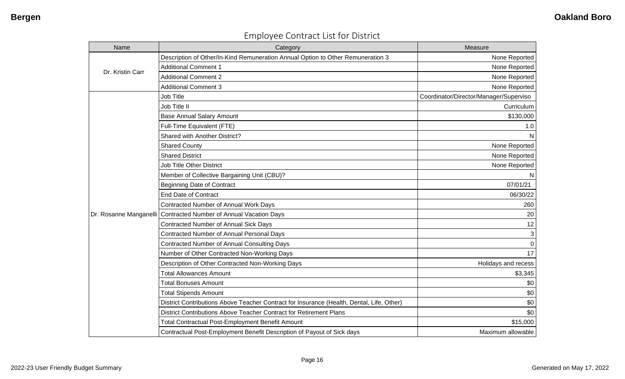| Name                   | Category                                                                                  | Measure                                |
|------------------------|-------------------------------------------------------------------------------------------|----------------------------------------|
|                        | Description of Other/In-Kind Remuneration Annual Option to Other Remuneration 3           | None Reported                          |
| Dr. Kristin Carr       | <b>Additional Comment 1</b>                                                               | None Reported                          |
|                        | <b>Additional Comment 2</b>                                                               | None Reported                          |
|                        | <b>Additional Comment 3</b>                                                               | None Reported                          |
|                        | Job Title                                                                                 | Coordinator/Director/Manager/Superviso |
|                        | Job Title II                                                                              | Curriculum                             |
|                        | <b>Base Annual Salary Amount</b>                                                          | \$130,000                              |
|                        | Full-Time Equivalent (FTE)                                                                | 1.0                                    |
|                        | Shared with Another District?                                                             | N                                      |
|                        | <b>Shared County</b>                                                                      | None Reported                          |
|                        | <b>Shared District</b>                                                                    | None Reported                          |
|                        | <b>Job Title Other District</b>                                                           | None Reported                          |
|                        | Member of Collective Bargaining Unit (CBU)?                                               | N                                      |
|                        | <b>Beginning Date of Contract</b>                                                         | 07/01/21                               |
|                        | <b>End Date of Contract</b>                                                               | 06/30/22                               |
|                        | Contracted Number of Annual Work Days                                                     | 260                                    |
| Dr. Rosanne Manganelli | Contracted Number of Annual Vacation Days                                                 | 20                                     |
|                        | <b>Contracted Number of Annual Sick Days</b>                                              | 12                                     |
|                        | Contracted Number of Annual Personal Days                                                 | 3                                      |
|                        | <b>Contracted Number of Annual Consulting Days</b>                                        | $\Omega$                               |
|                        | Number of Other Contracted Non-Working Days                                               | 17                                     |
|                        | Description of Other Contracted Non-Working Days                                          | Holidays and recess                    |
|                        | <b>Total Allowances Amount</b>                                                            | \$3,345                                |
|                        | <b>Total Bonuses Amount</b>                                                               | \$0                                    |
|                        | <b>Total Stipends Amount</b>                                                              | \$0                                    |
|                        | District Contributions Above Teacher Contract for Insurance (Health, Dental, Life, Other) | \$0                                    |
|                        | District Contributions Above Teacher Contract for Retirement Plans                        | \$0                                    |
|                        | <b>Total Contractual Post-Employment Benefit Amount</b>                                   | \$15,000                               |
|                        | Contractual Post-Employment Benefit Description of Payout of Sick days                    | Maximum allowable                      |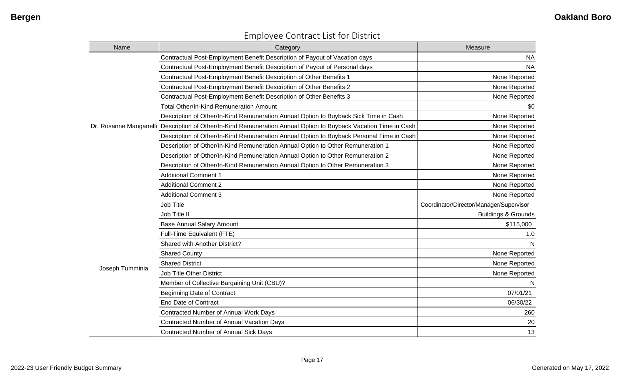| Name                   | Category                                                                                 | Measure                                 |
|------------------------|------------------------------------------------------------------------------------------|-----------------------------------------|
|                        | Contractual Post-Employment Benefit Description of Payout of Vacation days               | <b>NA</b>                               |
|                        | Contractual Post-Employment Benefit Description of Payout of Personal days               | <b>NA</b>                               |
|                        | Contractual Post-Employment Benefit Description of Other Benefits 1                      | None Reported                           |
|                        | Contractual Post-Employment Benefit Description of Other Benefits 2                      | None Reported                           |
|                        | Contractual Post-Employment Benefit Description of Other Benefits 3                      | None Reported                           |
|                        | Total Other/In-Kind Remuneration Amount                                                  | \$0                                     |
|                        | Description of Other/In-Kind Remuneration Annual Option to Buyback Sick Time in Cash     | None Reported                           |
| Dr. Rosanne Manganelli | Description of Other/In-Kind Remuneration Annual Option to Buyback Vacation Time in Cash | None Reported                           |
|                        | Description of Other/In-Kind Remuneration Annual Option to Buyback Personal Time in Cash | None Reported                           |
|                        | Description of Other/In-Kind Remuneration Annual Option to Other Remuneration 1          | None Reported                           |
|                        | Description of Other/In-Kind Remuneration Annual Option to Other Remuneration 2          | None Reported                           |
|                        | Description of Other/In-Kind Remuneration Annual Option to Other Remuneration 3          | None Reported                           |
|                        | <b>Additional Comment 1</b>                                                              | None Reported                           |
|                        | <b>Additional Comment 2</b>                                                              | None Reported                           |
|                        | <b>Additional Comment 3</b>                                                              | None Reported                           |
|                        | Job Title                                                                                | Coordinator/Director/Manager/Supervisor |
|                        | Job Title II                                                                             | <b>Buildings &amp; Grounds</b>          |
|                        | <b>Base Annual Salary Amount</b>                                                         | \$115,000                               |
|                        | Full-Time Equivalent (FTE)                                                               | 1.0                                     |
|                        | Shared with Another District?                                                            |                                         |
|                        | <b>Shared County</b>                                                                     | None Reported                           |
| Joseph Tumminia        | <b>Shared District</b>                                                                   | None Reported                           |
|                        | <b>Job Title Other District</b>                                                          | None Reported                           |
|                        | Member of Collective Bargaining Unit (CBU)?                                              |                                         |
|                        | <b>Beginning Date of Contract</b>                                                        | 07/01/21                                |
|                        | <b>End Date of Contract</b>                                                              | 06/30/22                                |
|                        | Contracted Number of Annual Work Days                                                    | 260                                     |
|                        | <b>Contracted Number of Annual Vacation Days</b>                                         | 20                                      |
|                        | Contracted Number of Annual Sick Days                                                    | 13                                      |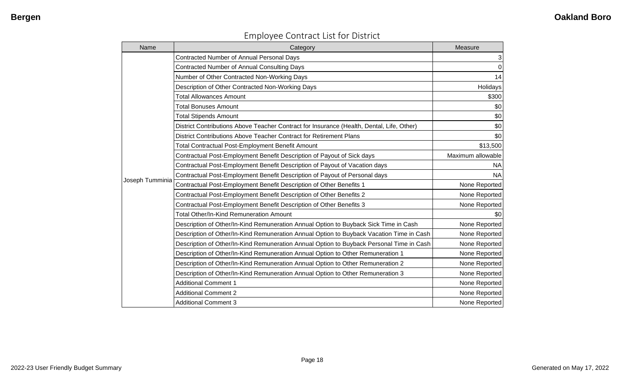| Name            | Category                                                                                  | Measure           |
|-----------------|-------------------------------------------------------------------------------------------|-------------------|
|                 | Contracted Number of Annual Personal Days                                                 | 3                 |
|                 | Contracted Number of Annual Consulting Days                                               | $\mathbf 0$       |
|                 | Number of Other Contracted Non-Working Days                                               | 14                |
|                 | Description of Other Contracted Non-Working Days                                          | Holidays          |
|                 | <b>Total Allowances Amount</b>                                                            | \$300             |
|                 | <b>Total Bonuses Amount</b>                                                               | \$0               |
|                 | <b>Total Stipends Amount</b>                                                              | \$0               |
|                 | District Contributions Above Teacher Contract for Insurance (Health, Dental, Life, Other) | \$0               |
|                 | District Contributions Above Teacher Contract for Retirement Plans                        | \$0               |
|                 | Total Contractual Post-Employment Benefit Amount                                          | \$13,500          |
|                 | Contractual Post-Employment Benefit Description of Payout of Sick days                    | Maximum allowable |
|                 | Contractual Post-Employment Benefit Description of Payout of Vacation days                | NA.               |
|                 | Contractual Post-Employment Benefit Description of Payout of Personal days                | <b>NA</b>         |
| Joseph Tumminia | Contractual Post-Employment Benefit Description of Other Benefits 1                       | None Reported     |
|                 | Contractual Post-Employment Benefit Description of Other Benefits 2                       | None Reported     |
|                 | Contractual Post-Employment Benefit Description of Other Benefits 3                       | None Reported     |
|                 | <b>Total Other/In-Kind Remuneration Amount</b>                                            | \$0               |
|                 | Description of Other/In-Kind Remuneration Annual Option to Buyback Sick Time in Cash      | None Reported     |
|                 | Description of Other/In-Kind Remuneration Annual Option to Buyback Vacation Time in Cash  | None Reported     |
|                 | Description of Other/In-Kind Remuneration Annual Option to Buyback Personal Time in Cash  | None Reported     |
|                 | Description of Other/In-Kind Remuneration Annual Option to Other Remuneration 1           | None Reported     |
|                 | Description of Other/In-Kind Remuneration Annual Option to Other Remuneration 2           | None Reported     |
|                 | Description of Other/In-Kind Remuneration Annual Option to Other Remuneration 3           | None Reported     |
|                 | <b>Additional Comment 1</b>                                                               | None Reported     |
|                 | <b>Additional Comment 2</b>                                                               | None Reported     |
|                 | <b>Additional Comment 3</b>                                                               | None Reported     |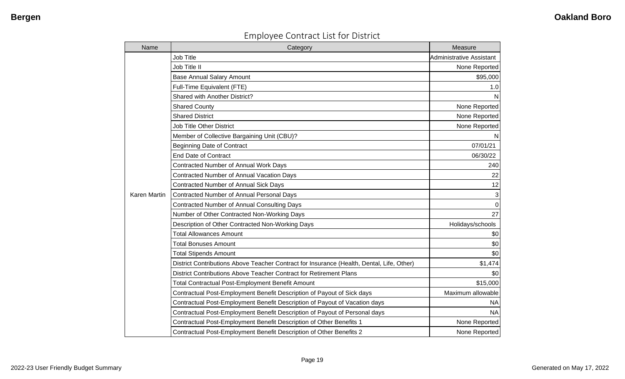| Name         | Category                                                                                  | Measure                         |
|--------------|-------------------------------------------------------------------------------------------|---------------------------------|
|              | <b>Job Title</b>                                                                          | <b>Administrative Assistant</b> |
|              | Job Title II                                                                              | None Reported                   |
|              | <b>Base Annual Salary Amount</b>                                                          | \$95,000                        |
|              | Full-Time Equivalent (FTE)                                                                | 1.0                             |
|              | <b>Shared with Another District?</b>                                                      | N                               |
|              | <b>Shared County</b>                                                                      | None Reported                   |
|              | <b>Shared District</b>                                                                    | None Reported                   |
|              | <b>Job Title Other District</b>                                                           | None Reported                   |
|              | Member of Collective Bargaining Unit (CBU)?                                               | N                               |
|              | <b>Beginning Date of Contract</b>                                                         | 07/01/21                        |
|              | <b>End Date of Contract</b>                                                               | 06/30/22                        |
|              | Contracted Number of Annual Work Days                                                     | 240                             |
|              | Contracted Number of Annual Vacation Days                                                 | 22                              |
|              | <b>Contracted Number of Annual Sick Days</b>                                              | 12                              |
| Karen Martin | <b>Contracted Number of Annual Personal Days</b>                                          | $\mathbf{3}$                    |
|              | Contracted Number of Annual Consulting Days                                               | $\mathbf 0$                     |
|              | Number of Other Contracted Non-Working Days                                               | 27                              |
|              | Description of Other Contracted Non-Working Days                                          | Holidays/schools                |
|              | <b>Total Allowances Amount</b>                                                            | \$0                             |
|              | <b>Total Bonuses Amount</b>                                                               | \$0                             |
|              | <b>Total Stipends Amount</b>                                                              | \$0                             |
|              | District Contributions Above Teacher Contract for Insurance (Health, Dental, Life, Other) | \$1,474                         |
|              | District Contributions Above Teacher Contract for Retirement Plans                        | \$0                             |
|              | <b>Total Contractual Post-Employment Benefit Amount</b>                                   | \$15,000                        |
|              | Contractual Post-Employment Benefit Description of Payout of Sick days                    | Maximum allowable               |
|              | Contractual Post-Employment Benefit Description of Payout of Vacation days                | <b>NA</b>                       |
|              | Contractual Post-Employment Benefit Description of Payout of Personal days                | <b>NA</b>                       |
|              | Contractual Post-Employment Benefit Description of Other Benefits 1                       | None Reported                   |
|              | Contractual Post-Employment Benefit Description of Other Benefits 2                       | None Reported                   |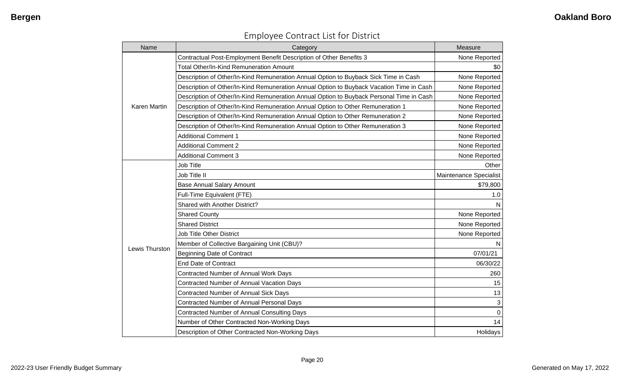| Name                | Category                                                                                 | Measure                |
|---------------------|------------------------------------------------------------------------------------------|------------------------|
|                     | Contractual Post-Employment Benefit Description of Other Benefits 3                      | None Reported          |
|                     | <b>Total Other/In-Kind Remuneration Amount</b>                                           | \$0                    |
|                     | Description of Other/In-Kind Remuneration Annual Option to Buyback Sick Time in Cash     | None Reported          |
|                     | Description of Other/In-Kind Remuneration Annual Option to Buyback Vacation Time in Cash | None Reported          |
|                     | Description of Other/In-Kind Remuneration Annual Option to Buyback Personal Time in Cash | None Reported          |
| <b>Karen Martin</b> | Description of Other/In-Kind Remuneration Annual Option to Other Remuneration 1          | None Reported          |
|                     | Description of Other/In-Kind Remuneration Annual Option to Other Remuneration 2          | None Reported          |
|                     | Description of Other/In-Kind Remuneration Annual Option to Other Remuneration 3          | None Reported          |
|                     | <b>Additional Comment 1</b>                                                              | None Reported          |
|                     | <b>Additional Comment 2</b>                                                              | None Reported          |
|                     | <b>Additional Comment 3</b>                                                              | None Reported          |
|                     | Job Title                                                                                | Other                  |
|                     | Job Title II                                                                             | Maintenance Specialist |
|                     | <b>Base Annual Salary Amount</b>                                                         | \$79,800               |
|                     | Full-Time Equivalent (FTE)                                                               | 1.0                    |
|                     | Shared with Another District?                                                            | N                      |
|                     | <b>Shared County</b>                                                                     | None Reported          |
|                     | <b>Shared District</b>                                                                   | None Reported          |
|                     | <b>Job Title Other District</b>                                                          | None Reported          |
|                     | Member of Collective Bargaining Unit (CBU)?                                              | N                      |
| Lewis Thurston      | <b>Beginning Date of Contract</b>                                                        | 07/01/21               |
|                     | <b>End Date of Contract</b>                                                              | 06/30/22               |
|                     | Contracted Number of Annual Work Days                                                    | 260                    |
|                     | Contracted Number of Annual Vacation Days                                                | 15                     |
|                     | Contracted Number of Annual Sick Days                                                    | 13                     |
|                     | Contracted Number of Annual Personal Days                                                | 3                      |
|                     | Contracted Number of Annual Consulting Days                                              | $\mathbf 0$            |
|                     | Number of Other Contracted Non-Working Days                                              | 14                     |
|                     | Description of Other Contracted Non-Working Days                                         | Holidays               |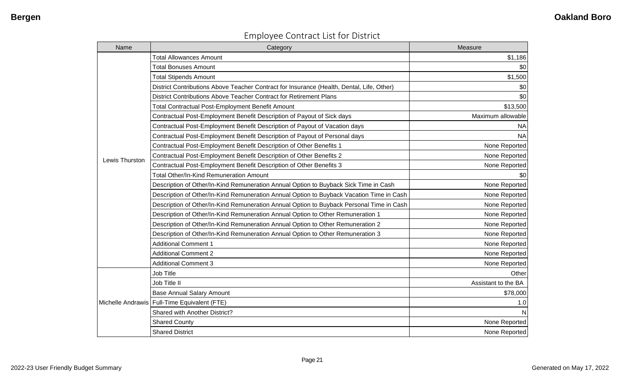| <b>Employee Contract List for District</b> |  |  |  |
|--------------------------------------------|--|--|--|
|--------------------------------------------|--|--|--|

| Name           | Category                                                                                  | Measure             |
|----------------|-------------------------------------------------------------------------------------------|---------------------|
|                | <b>Total Allowances Amount</b>                                                            | \$1,186             |
|                | <b>Total Bonuses Amount</b>                                                               | \$0                 |
|                | <b>Total Stipends Amount</b>                                                              | \$1,500             |
|                | District Contributions Above Teacher Contract for Insurance (Health, Dental, Life, Other) | \$0                 |
|                | District Contributions Above Teacher Contract for Retirement Plans                        | \$0                 |
|                | <b>Total Contractual Post-Employment Benefit Amount</b>                                   | \$13,500            |
|                | Contractual Post-Employment Benefit Description of Payout of Sick days                    | Maximum allowable   |
|                | Contractual Post-Employment Benefit Description of Payout of Vacation days                | <b>NA</b>           |
|                | Contractual Post-Employment Benefit Description of Payout of Personal days                | <b>NA</b>           |
|                | Contractual Post-Employment Benefit Description of Other Benefits 1                       | None Reported       |
| Lewis Thurston | Contractual Post-Employment Benefit Description of Other Benefits 2                       | None Reported       |
|                | Contractual Post-Employment Benefit Description of Other Benefits 3                       | None Reported       |
|                | Total Other/In-Kind Remuneration Amount                                                   | \$0                 |
|                | Description of Other/In-Kind Remuneration Annual Option to Buyback Sick Time in Cash      | None Reported       |
|                | Description of Other/In-Kind Remuneration Annual Option to Buyback Vacation Time in Cash  | None Reported       |
|                | Description of Other/In-Kind Remuneration Annual Option to Buyback Personal Time in Cash  | None Reported       |
|                | Description of Other/In-Kind Remuneration Annual Option to Other Remuneration 1           | None Reported       |
|                | Description of Other/In-Kind Remuneration Annual Option to Other Remuneration 2           | None Reported       |
|                | Description of Other/In-Kind Remuneration Annual Option to Other Remuneration 3           | None Reported       |
|                | <b>Additional Comment 1</b>                                                               | None Reported       |
|                | <b>Additional Comment 2</b>                                                               | None Reported       |
|                | <b>Additional Comment 3</b>                                                               | None Reported       |
|                | <b>Job Title</b>                                                                          | Other               |
|                | Job Title II                                                                              | Assistant to the BA |
|                | <b>Base Annual Salary Amount</b>                                                          | \$78,000            |
|                | Michelle Andrawis   Full-Time Equivalent (FTE)                                            | 1.0                 |
|                | Shared with Another District?                                                             | N                   |
|                | <b>Shared County</b>                                                                      | None Reported       |
|                | <b>Shared District</b>                                                                    | None Reported       |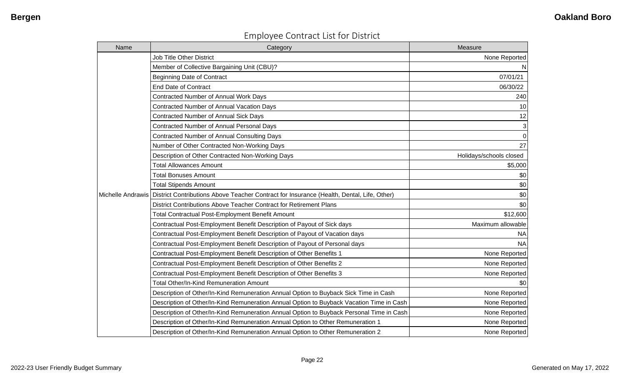| <b>Employee Contract List for District</b> |  |  |  |
|--------------------------------------------|--|--|--|
|--------------------------------------------|--|--|--|

| Name | Category                                                                                                      | Measure                 |
|------|---------------------------------------------------------------------------------------------------------------|-------------------------|
|      | <b>Job Title Other District</b>                                                                               | None Reported           |
|      | Member of Collective Bargaining Unit (CBU)?                                                                   | N                       |
|      | <b>Beginning Date of Contract</b>                                                                             | 07/01/21                |
|      | <b>End Date of Contract</b>                                                                                   | 06/30/22                |
|      | Contracted Number of Annual Work Days                                                                         | 240                     |
|      | Contracted Number of Annual Vacation Days                                                                     | 10                      |
|      | Contracted Number of Annual Sick Days                                                                         | 12                      |
|      | <b>Contracted Number of Annual Personal Days</b>                                                              | 3                       |
|      | Contracted Number of Annual Consulting Days                                                                   | $\mathbf 0$             |
|      | Number of Other Contracted Non-Working Days                                                                   | 27                      |
|      | Description of Other Contracted Non-Working Days                                                              | Holidays/schools closed |
|      | <b>Total Allowances Amount</b>                                                                                | \$5,000                 |
|      | <b>Total Bonuses Amount</b>                                                                                   | \$0                     |
|      | <b>Total Stipends Amount</b>                                                                                  | \$0                     |
|      | Michelle Andrawis   District Contributions Above Teacher Contract for Insurance (Health, Dental, Life, Other) | \$0                     |
|      | District Contributions Above Teacher Contract for Retirement Plans                                            | \$0                     |
|      | Total Contractual Post-Employment Benefit Amount                                                              | \$12,600                |
|      | Contractual Post-Employment Benefit Description of Payout of Sick days                                        | Maximum allowable       |
|      | Contractual Post-Employment Benefit Description of Payout of Vacation days                                    | <b>NA</b>               |
|      | Contractual Post-Employment Benefit Description of Payout of Personal days                                    | <b>NA</b>               |
|      | Contractual Post-Employment Benefit Description of Other Benefits 1                                           | None Reported           |
|      | Contractual Post-Employment Benefit Description of Other Benefits 2                                           | None Reported           |
|      | Contractual Post-Employment Benefit Description of Other Benefits 3                                           | None Reported           |
|      | Total Other/In-Kind Remuneration Amount                                                                       | \$0                     |
|      | Description of Other/In-Kind Remuneration Annual Option to Buyback Sick Time in Cash                          | None Reported           |
|      | Description of Other/In-Kind Remuneration Annual Option to Buyback Vacation Time in Cash                      | None Reported           |
|      | Description of Other/In-Kind Remuneration Annual Option to Buyback Personal Time in Cash                      | None Reported           |
|      | Description of Other/In-Kind Remuneration Annual Option to Other Remuneration 1                               | None Reported           |
|      | Description of Other/In-Kind Remuneration Annual Option to Other Remuneration 2                               | None Reported           |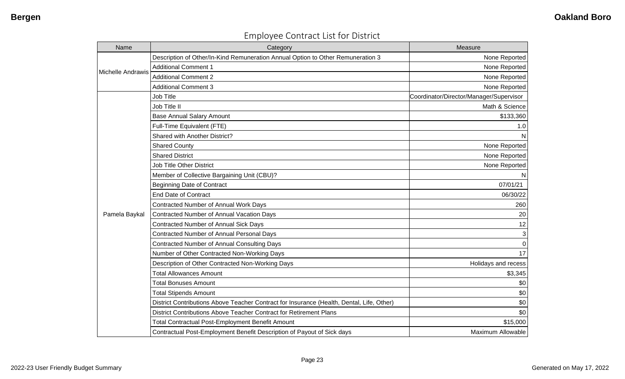| <b>Employee Contract List for District</b> |  |  |
|--------------------------------------------|--|--|
|--------------------------------------------|--|--|

| Name                     | Category                                                                                  | Measure                                 |
|--------------------------|-------------------------------------------------------------------------------------------|-----------------------------------------|
|                          | Description of Other/In-Kind Remuneration Annual Option to Other Remuneration 3           | None Reported                           |
| <b>Michelle Andrawis</b> | <b>Additional Comment 1</b>                                                               | None Reported                           |
|                          | <b>Additional Comment 2</b>                                                               | None Reported                           |
|                          | <b>Additional Comment 3</b>                                                               | None Reported                           |
|                          | <b>Job Title</b>                                                                          | Coordinator/Director/Manager/Supervisor |
|                          | Job Title II                                                                              | Math & Science                          |
|                          | <b>Base Annual Salary Amount</b>                                                          | \$133,360                               |
|                          | Full-Time Equivalent (FTE)                                                                | 1.0                                     |
|                          | Shared with Another District?                                                             | N                                       |
|                          | <b>Shared County</b>                                                                      | None Reported                           |
|                          | <b>Shared District</b>                                                                    | None Reported                           |
|                          | <b>Job Title Other District</b>                                                           | None Reported                           |
|                          | Member of Collective Bargaining Unit (CBU)?                                               | N                                       |
|                          | <b>Beginning Date of Contract</b>                                                         | 07/01/21                                |
|                          | <b>End Date of Contract</b>                                                               | 06/30/22                                |
|                          | Contracted Number of Annual Work Days                                                     | 260                                     |
| Pamela Baykal            | Contracted Number of Annual Vacation Days                                                 | 20                                      |
|                          | Contracted Number of Annual Sick Days                                                     | 12                                      |
|                          | Contracted Number of Annual Personal Days                                                 | 3                                       |
|                          | <b>Contracted Number of Annual Consulting Days</b>                                        | $\Omega$                                |
|                          | Number of Other Contracted Non-Working Days                                               | 17                                      |
|                          | Description of Other Contracted Non-Working Days                                          | Holidays and recess                     |
|                          | <b>Total Allowances Amount</b>                                                            | \$3,345                                 |
|                          | <b>Total Bonuses Amount</b>                                                               | \$0                                     |
|                          | <b>Total Stipends Amount</b>                                                              | \$0                                     |
|                          | District Contributions Above Teacher Contract for Insurance (Health, Dental, Life, Other) | \$0                                     |
|                          | District Contributions Above Teacher Contract for Retirement Plans                        | \$0                                     |
|                          | <b>Total Contractual Post-Employment Benefit Amount</b>                                   | \$15,000                                |
|                          | Contractual Post-Employment Benefit Description of Payout of Sick days                    | Maximum Allowable                       |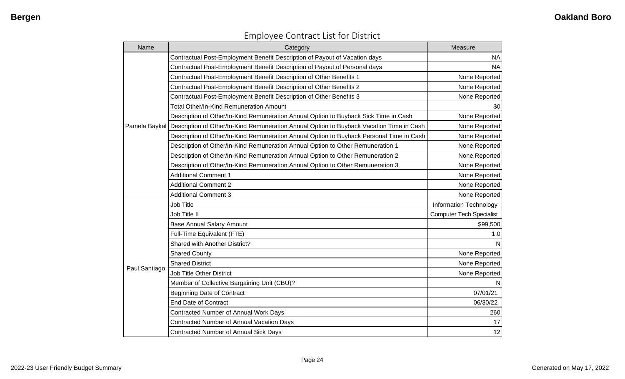| Name          | Category                                                                                               | Measure                         |
|---------------|--------------------------------------------------------------------------------------------------------|---------------------------------|
|               | Contractual Post-Employment Benefit Description of Payout of Vacation days                             | <b>NA</b>                       |
|               | Contractual Post-Employment Benefit Description of Payout of Personal days                             | <b>NA</b>                       |
|               | Contractual Post-Employment Benefit Description of Other Benefits 1                                    | None Reported                   |
|               | Contractual Post-Employment Benefit Description of Other Benefits 2                                    | None Reported                   |
|               | Contractual Post-Employment Benefit Description of Other Benefits 3                                    | None Reported                   |
|               | <b>Total Other/In-Kind Remuneration Amount</b>                                                         | \$0                             |
|               | Description of Other/In-Kind Remuneration Annual Option to Buyback Sick Time in Cash                   | None Reported                   |
|               | Pamela Baykal Description of Other/In-Kind Remuneration Annual Option to Buyback Vacation Time in Cash | None Reported                   |
|               | Description of Other/In-Kind Remuneration Annual Option to Buyback Personal Time in Cash               | None Reported                   |
|               | Description of Other/In-Kind Remuneration Annual Option to Other Remuneration 1                        | None Reported                   |
|               | Description of Other/In-Kind Remuneration Annual Option to Other Remuneration 2                        | None Reported                   |
|               | Description of Other/In-Kind Remuneration Annual Option to Other Remuneration 3                        | None Reported                   |
|               | <b>Additional Comment 1</b>                                                                            | None Reported                   |
|               | <b>Additional Comment 2</b>                                                                            | None Reported                   |
|               | <b>Additional Comment 3</b>                                                                            | None Reported                   |
|               | <b>Job Title</b>                                                                                       | <b>Information Technology</b>   |
|               | Job Title II                                                                                           | <b>Computer Tech Specialist</b> |
|               | <b>Base Annual Salary Amount</b>                                                                       | \$99,500                        |
|               | Full-Time Equivalent (FTE)                                                                             | 1.0                             |
|               | Shared with Another District?                                                                          |                                 |
|               | <b>Shared County</b>                                                                                   | None Reported                   |
|               | <b>Shared District</b>                                                                                 | None Reported                   |
| Paul Santiago | <b>Job Title Other District</b>                                                                        | None Reported                   |
|               | Member of Collective Bargaining Unit (CBU)?                                                            |                                 |
|               | <b>Beginning Date of Contract</b>                                                                      | 07/01/21                        |
|               | <b>End Date of Contract</b>                                                                            | 06/30/22                        |
|               | Contracted Number of Annual Work Days                                                                  | 260                             |
|               | Contracted Number of Annual Vacation Days                                                              | 17                              |
|               | Contracted Number of Annual Sick Days                                                                  | 12                              |